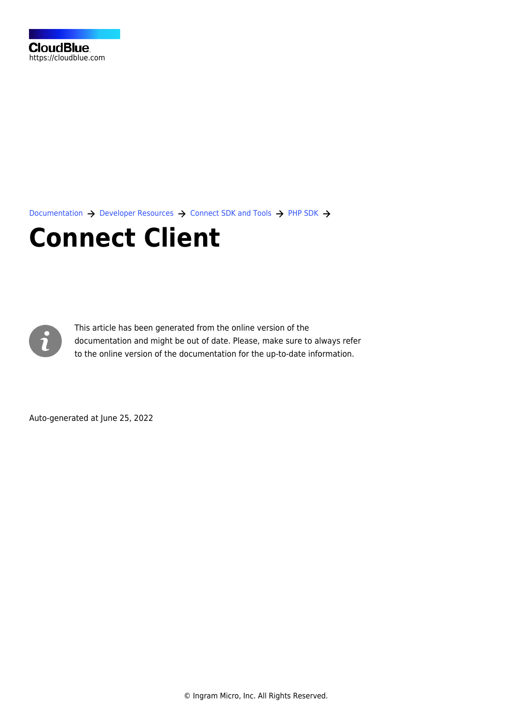[Documentation](https://connect.cloudblue.com/documentation)  $\rightarrow$  [Developer Resources](https://connect.cloudblue.com/community/developers/)  $\rightarrow$  [Connect SDK and Tools](https://connect.cloudblue.com/community/developers/sdk/)  $\rightarrow$  [PHP SDK](https://connect.cloudblue.com/community/developers/sdk/php-sdk/)  $\rightarrow$ 

# **[Connect Client](https://connect.cloudblue.com/community/developers/sdk/php-sdk/connect-client/)**



This article has been generated from the online version of the documentation and might be out of date. Please, make sure to always refer to the online version of the documentation for the up-to-date information.

Auto-generated at June 25, 2022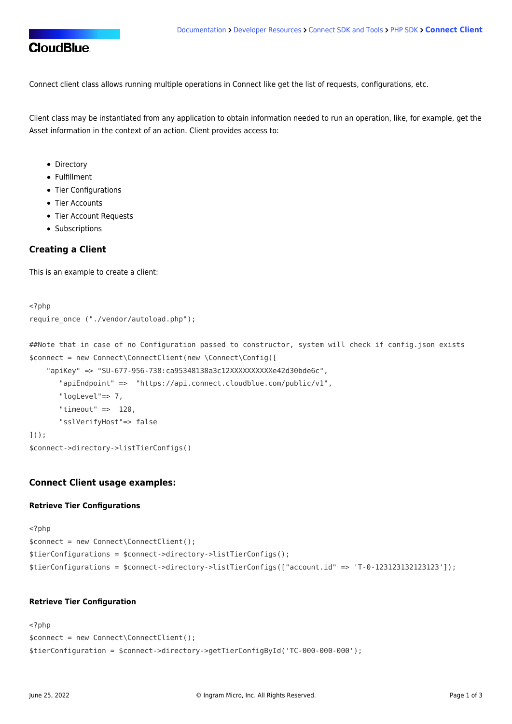Connect client class allows running multiple operations in Connect like get the list of requests, configurations, etc.

Client class may be instantiated from any application to obtain information needed to run an operation, like, for example, get the Asset information in the context of an action. Client provides access to:

- Directory
- Fulfillment
- Tier Configurations
- Tier Accounts
- Tier Account Requests
- Subscriptions

## **Creating a Client**

This is an example to create a client:

```
<?php
require_once ("./vendor/autoload.php");
```
##Note that in case of no Configuration passed to constructor, system will check if config.json exists \$connect = new Connect\ConnectClient(new \Connect\Config([

```
"apiKey" => "SU-677-956-738:ca95348138a3c12XXXXXXXXXXe42d30bde6c",
        "apiEndpoint" => "https://api.connect.cloudblue.com/public/v1",
        "logLevel"=> 7,
       "timeout" \Rightarrow 120,
        "sslVerifyHost"=> false
]));
$connect->directory->listTierConfigs()
```
## **Connect Client usage examples:**

### **Retrieve Tier Configurations**

```
<?php
$connect = new Connect\ConnectClient();
$tierConfigurations = $connect->directory->listTierConfigs();
$tierConfigurations = $connect->directory->listTierConfigs(["account.id" => 'T-0-123123132123123']);
```
### **Retrieve Tier Configuration**

```
<?php
$connect = new Connect\ConnectClient();
$tierConfiguration = $connect->directory->getTierConfigById('TC-000-000-000');
```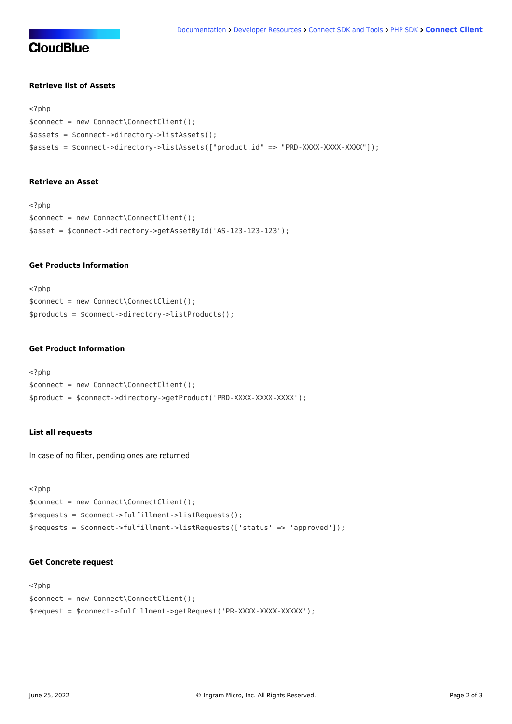# **CloudBlue**

## **Retrieve list of Assets**

```
<?php
$connect = new Connect\ConnectClient();
$assets = $connect->directory->listAssets();
$assets = $connect->directory->listAssets(["product.id" => "PRD-XXXX-XXXX-XXXX"]);
```
### **Retrieve an Asset**

```
<?php
$connect = new Connect\ConnectClient();
$asset = $connect->directory->getAssetById('AS-123-123-123');
```
## **Get Products Information**

<?php \$connect = new Connect\ConnectClient(); \$products = \$connect->directory->listProducts();

## **Get Product Information**

```
<?php
$connect = new Connect\ConnectClient();
$product = $connect->directory->getProduct('PRD-XXXX-XXXX-XXXX');
```
## **List all requests**

In case of no filter, pending ones are returned

```
<?php
$connect = new Connect\ConnectClient();
$requests = $connect->fulfillment->listRequests();
$requests = $connect->fulfillment->listRequests(['status' => 'approved']);
```
## **Get Concrete request**

```
<?php
$connect = new Connect\ConnectClient();
$request = $connect->fulfillment->getRequest('PR-XXXX-XXXX-XXXXX');
```